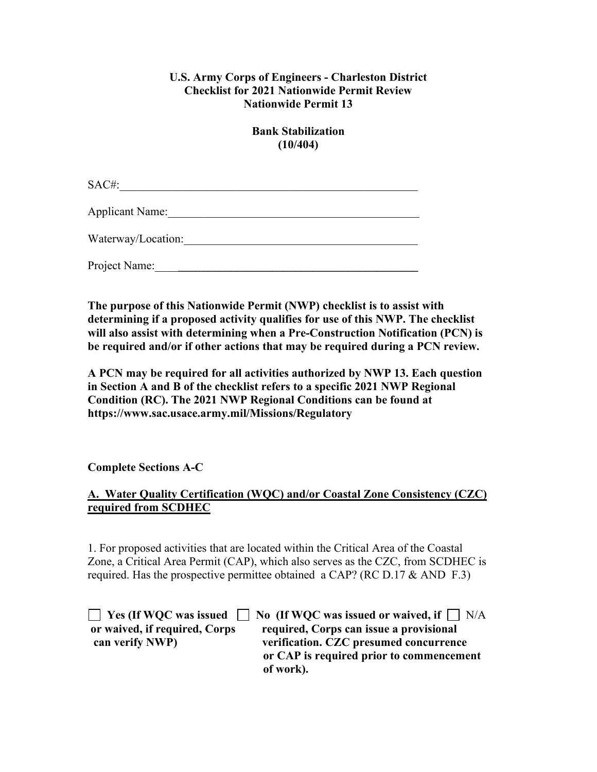### **U.S. Army Corps of Engineers - Charleston District Checklist for 2021 Nationwide Permit Review Nationwide Permit 13**

**Bank Stabilization (10/404)** 

SAC#:

Applicant Name:

Waterway/Location:\_\_\_\_\_\_\_\_\_\_\_\_\_\_\_\_\_\_\_\_\_\_\_\_\_\_\_\_\_\_\_\_\_\_\_\_\_\_\_\_

Project Name:

**The purpose of this Nationwide Permit (NWP) checklist is to assist with determining if a proposed activity qualifies for use of this NWP. The checklist will also assist with determining when a Pre-Construction Notification (PCN) is be required and/or if other actions that may be required during a PCN review.**

**A PCN may be required for all activities authorized by NWP 13. Each question in Section A and B of the checklist refers to a specific 2021 NWP Regional Condition (RC). The 2021 NWP Regional Conditions can be found at https://www.sac.usace.army.mil/Missions/Regulatory** 

**Complete Sections A-C** 

## **A. Water Quality Certification (WQC) and/or Coastal Zone Consistency (CZC) required from SCDHEC**

1. For proposed activities that are located within the Critical Area of the Coastal Zone, a Critical Area Permit (CAP), which also serves as the CZC, from SCDHEC is required. Has the prospective permittee obtained a CAP? (RC D.17  $\&$  AND F.3)

|                               | $\Box$ Yes (If WQC was issued $\Box$ No (If WQC was issued or waived, if $\Box$ N/A |
|-------------------------------|-------------------------------------------------------------------------------------|
| or waived, if required, Corps | required, Corps can issue a provisional                                             |
| can verify NWP)               | verification. CZC presumed concurrence                                              |
|                               | or CAP is required prior to commencement                                            |
|                               | of work).                                                                           |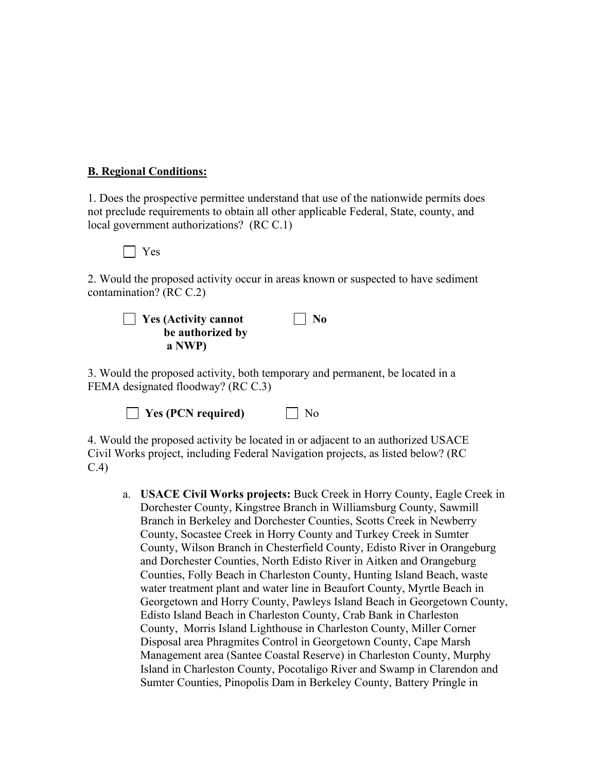#### **B. Regional Conditions:**

1. Does the prospective permittee understand that use of the nationwide permits does not preclude requirements to obtain all other applicable Federal, State, county, and local government authorizations? (RC C.1)

Yes

2. Would the proposed activity occur in areas known or suspected to have sediment contamination? (RC C.2)

| $\Box$ Yes (Activity cannot | $\vert$ No |
|-----------------------------|------------|
| be authorized by            |            |
| a NWP)                      |            |

3. Would the proposed activity, both temporary and permanent, be located in a FEMA designated floodway? (RC C.3)

**No** Yes (PCN required) Mo

4. Would the proposed activity be located in or adjacent to an authorized USACE Civil Works project, including Federal Navigation projects, as listed below? (RC C.4)

a. **USACE Civil Works projects:** Buck Creek in Horry County, Eagle Creek in Dorchester County, Kingstree Branch in Williamsburg County, Sawmill Branch in Berkeley and Dorchester Counties, Scotts Creek in Newberry County, Socastee Creek in Horry County and Turkey Creek in Sumter County, Wilson Branch in Chesterfield County, Edisto River in Orangeburg and Dorchester Counties, North Edisto River in Aitken and Orangeburg Counties, Folly Beach in Charleston County, Hunting Island Beach, waste water treatment plant and water line in Beaufort County, Myrtle Beach in Georgetown and Horry County, Pawleys Island Beach in Georgetown County, Edisto Island Beach in Charleston County, Crab Bank in Charleston County, Morris Island Lighthouse in Charleston County, Miller Corner Disposal area Phragmites Control in Georgetown County, Cape Marsh Management area (Santee Coastal Reserve) in Charleston County, Murphy Island in Charleston County, Pocotaligo River and Swamp in Clarendon and Sumter Counties, Pinopolis Dam in Berkeley County, Battery Pringle in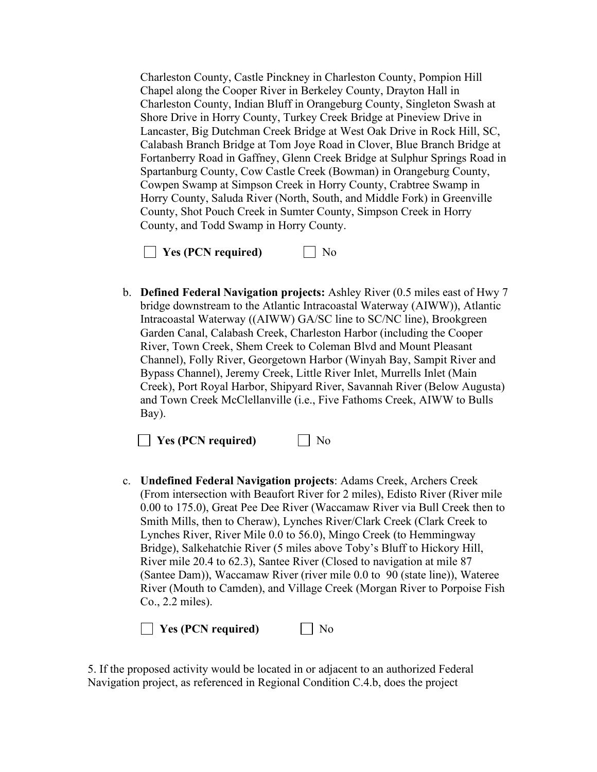Charleston County, Castle Pinckney in Charleston County, Pompion Hill Chapel along the Cooper River in Berkeley County, Drayton Hall in Charleston County, Indian Bluff in Orangeburg County, Singleton Swash at Shore Drive in Horry County, Turkey Creek Bridge at Pineview Drive in Lancaster, Big Dutchman Creek Bridge at West Oak Drive in Rock Hill, SC, Calabash Branch Bridge at Tom Joye Road in Clover, Blue Branch Bridge at Fortanberry Road in Gaffney, Glenn Creek Bridge at Sulphur Springs Road in Spartanburg County, Cow Castle Creek (Bowman) in Orangeburg County, Cowpen Swamp at Simpson Creek in Horry County, Crabtree Swamp in Horry County, Saluda River (North, South, and Middle Fork) in Greenville County, Shot Pouch Creek in Sumter County, Simpson Creek in Horry County, and Todd Swamp in Horry County.

| $\Box$ Yes (PCN required) | $\Box$ No |
|---------------------------|-----------|
|---------------------------|-----------|

b. **Defined Federal Navigation projects:** Ashley River (0.5 miles east of Hwy 7 bridge downstream to the Atlantic Intracoastal Waterway (AIWW)), Atlantic Intracoastal Waterway ((AIWW) GA/SC line to SC/NC line), Brookgreen Garden Canal, Calabash Creek, Charleston Harbor (including the Cooper River, Town Creek, Shem Creek to Coleman Blvd and Mount Pleasant Channel), Folly River, Georgetown Harbor (Winyah Bay, Sampit River and Bypass Channel), Jeremy Creek, Little River Inlet, Murrells Inlet (Main Creek), Port Royal Harbor, Shipyard River, Savannah River (Below Augusta) and Town Creek McClellanville (i.e., Five Fathoms Creek, AIWW to Bulls Bay).

**Yes (PCN required)** No

c. **Undefined Federal Navigation projects**: Adams Creek, Archers Creek (From intersection with Beaufort River for 2 miles), Edisto River (River mile 0.00 to 175.0), Great Pee Dee River (Waccamaw River via Bull Creek then to Smith Mills, then to Cheraw), Lynches River/Clark Creek (Clark Creek to Lynches River, River Mile 0.0 to 56.0), Mingo Creek (to Hemmingway Bridge), Salkehatchie River (5 miles above Toby's Bluff to Hickory Hill, River mile 20.4 to 62.3), Santee River (Closed to navigation at mile 87 (Santee Dam)), Waccamaw River (river mile 0.0 to 90 (state line)), Wateree River (Mouth to Camden), and Village Creek (Morgan River to Porpoise Fish Co., 2.2 miles).

**No** Yes (PCN required) Mo

5. If the proposed activity would be located in or adjacent to an authorized Federal Navigation project, as referenced in Regional Condition C.4.b, does the project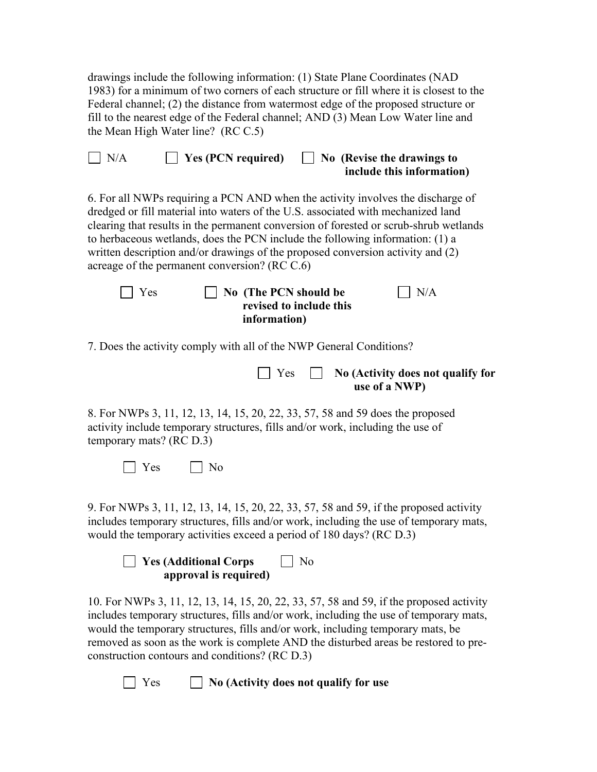drawings include the following information: (1) State Plane Coordinates (NAD 1983) for a minimum of two corners of each structure or fill where it is closest to the Federal channel; (2) the distance from watermost edge of the proposed structure or fill to the nearest edge of the Federal channel; AND (3) Mean Low Water line and the Mean High Water line? (RC C.5)

| $\vert$ $\vert$ N/A | $\Box$ Yes (PCN required) | $\Box$ No (Revise the drawings to |
|---------------------|---------------------------|-----------------------------------|
|                     |                           | include this information)         |

6. For all NWPs requiring a PCN AND when the activity involves the discharge of dredged or fill material into waters of the U.S. associated with mechanized land clearing that results in the permanent conversion of forested or scrub-shrub wetlands to herbaceous wetlands, does the PCN include the following information: (1) a written description and/or drawings of the proposed conversion activity and (2) acreage of the permanent conversion? (RC C.6)

| $\blacksquare$ Yes | $\vert$ No (The PCN should be | $\vert$ $\vert$ N/A |
|--------------------|-------------------------------|---------------------|
|                    | revised to include this       |                     |
|                    | information)                  |                     |

7. Does the activity comply with all of the NWP General Conditions?

|  | $\Box$ Yes $\Box$ No (Activity does not qualify for |
|--|-----------------------------------------------------|
|  | use of a NWP)                                       |

8. For NWPs 3, 11, 12, 13, 14, 15, 20, 22, 33, 57, 58 and 59 does the proposed activity include temporary structures, fills and/or work, including the use of temporary mats? (RC D.3)

|--|--|

9. For NWPs 3, 11, 12, 13, 14, 15, 20, 22, 33, 57, 58 and 59, if the proposed activity includes temporary structures, fills and/or work, including the use of temporary mats, would the temporary activities exceed a period of 180 days? (RC D.3)

| $\Box$ Yes (Additional Corps | $\Box$ No |
|------------------------------|-----------|
| approval is required)        |           |

10. For NWPs 3, 11, 12, 13, 14, 15, 20, 22, 33, 57, 58 and 59, if the proposed activity includes temporary structures, fills and/or work, including the use of temporary mats, would the temporary structures, fills and/or work, including temporary mats, be removed as soon as the work is complete AND the disturbed areas be restored to preconstruction contours and conditions? (RC D.3)

Yes **No (Activity does not qualify for use**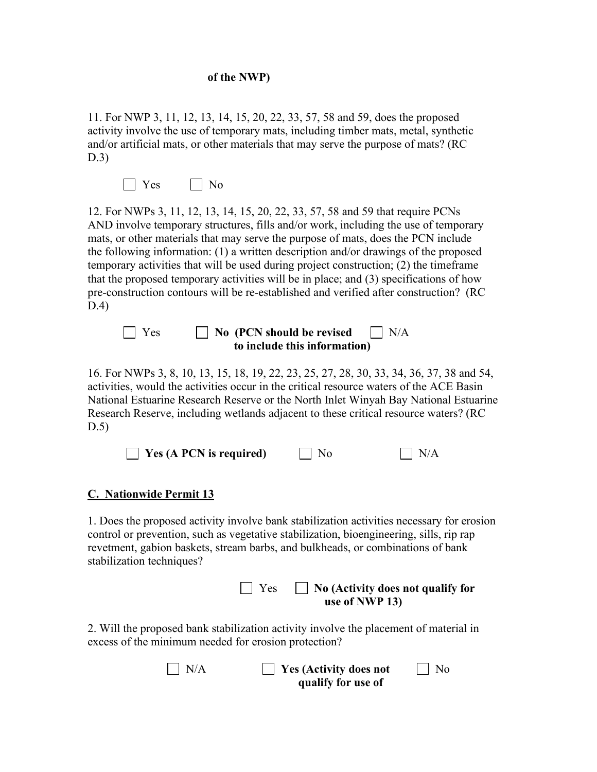#### **of the NWP)**

11. For NWP 3, 11, 12, 13, 14, 15, 20, 22, 33, 57, 58 and 59, does the proposed activity involve the use of temporary mats, including timber mats, metal, synthetic and/or artificial mats, or other materials that may serve the purpose of mats? (RC D.3)

No No

12. For NWPs 3, 11, 12, 13, 14, 15, 20, 22, 33, 57, 58 and 59 that require PCNs AND involve temporary structures, fills and/or work, including the use of temporary mats, or other materials that may serve the purpose of mats, does the PCN include the following information: (1) a written description and/or drawings of the proposed temporary activities that will be used during project construction; (2) the timeframe that the proposed temporary activities will be in place; and (3) specifications of how pre-construction contours will be re-established and verified after construction? (RC D.4)

**No (PCN should be revised II N/A to include this information)**

16. For NWPs 3, 8, 10, 13, 15, 18, 19, 22, 23, 25, 27, 28, 30, 33, 34, 36, 37, 38 and 54, activities, would the activities occur in the critical resource waters of the ACE Basin National Estuarine Research Reserve or the North Inlet Winyah Bay National Estuarine Research Reserve, including wetlands adjacent to these critical resource waters? (RC D.5)

| $\Box$ Yes (A PCN is required) | $\overline{\phantom{1}}$ No | $\Box$ N/A |
|--------------------------------|-----------------------------|------------|
|--------------------------------|-----------------------------|------------|

#### **C. Nationwide Permit 13**

1. Does the proposed activity involve bank stabilization activities necessary for erosion control or prevention, such as vegetative stabilization, bioengineering, sills, rip rap revetment, gabion baskets, stream barbs, and bulkheads, or combinations of bank stabilization techniques?

| $\Box$ Yes $\Box$ No (Activity does not qualify for |
|-----------------------------------------------------|
| use of NWP 13)                                      |

2. Will the proposed bank stabilization activity involve the placement of material in excess of the minimum needed for erosion protection?

| $\mathsf{I}$ N/A | $\Box$ Yes (Activity does not | $\overline{N}$ |
|------------------|-------------------------------|----------------|
|                  | qualify for use of            |                |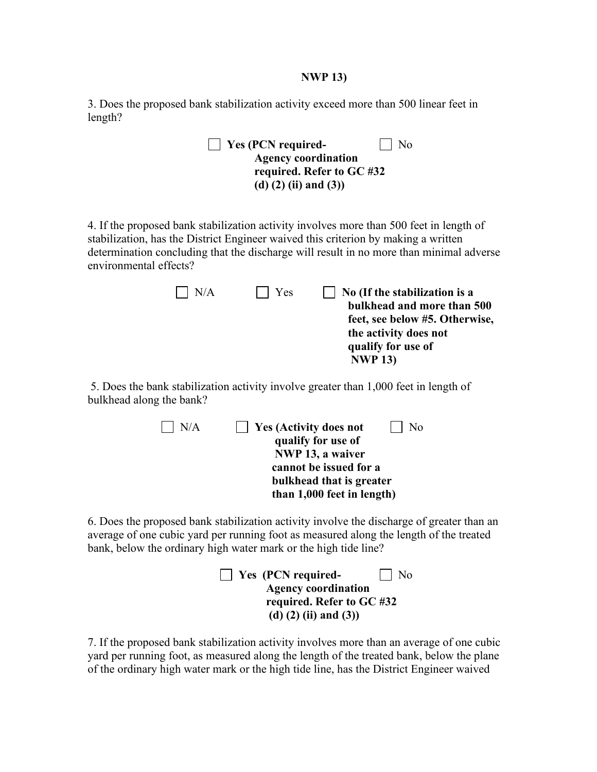#### **NWP 13)**

3. Does the proposed bank stabilization activity exceed more than 500 linear feet in length?

| $\Box$ Yes (PCN required-  | $\vert$   No |
|----------------------------|--------------|
| <b>Agency coordination</b> |              |
| required. Refer to GC #32  |              |
| (d) $(2)$ (ii) and $(3)$ ) |              |

4. If the proposed bank stabilization activity involves more than 500 feet in length of stabilization, has the District Engineer waived this criterion by making a written determination concluding that the discharge will result in no more than minimal adverse environmental effects?

| $\mid$ $\mid$ N/A | $\vert$   Yes | No (If the stabilization is a  |
|-------------------|---------------|--------------------------------|
|                   |               | bulkhead and more than 500     |
|                   |               | feet, see below #5. Otherwise, |
|                   |               | the activity does not          |
|                   |               | qualify for use of             |
|                   |               | <b>NWP 13)</b>                 |

 5. Does the bank stabilization activity involve greater than 1,000 feet in length of bulkhead along the bank?

| N/A | $\vert$ Yes (Activity does not<br>No |
|-----|--------------------------------------|
|     | qualify for use of                   |
|     | NWP 13, a waiver                     |
|     | cannot be issued for a               |
|     | bulkhead that is greater             |
|     | than 1,000 feet in length)           |

6. Does the proposed bank stabilization activity involve the discharge of greater than an average of one cubic yard per running foot as measured along the length of the treated bank, below the ordinary high water mark or the high tide line?

**Yes (PCN required-**  $\Box$  No  **Agency coordination required. Refer to GC #32 (d) (2) (ii) and (3))**

7. If the proposed bank stabilization activity involves more than an average of one cubic yard per running foot, as measured along the length of the treated bank, below the plane of the ordinary high water mark or the high tide line, has the District Engineer waived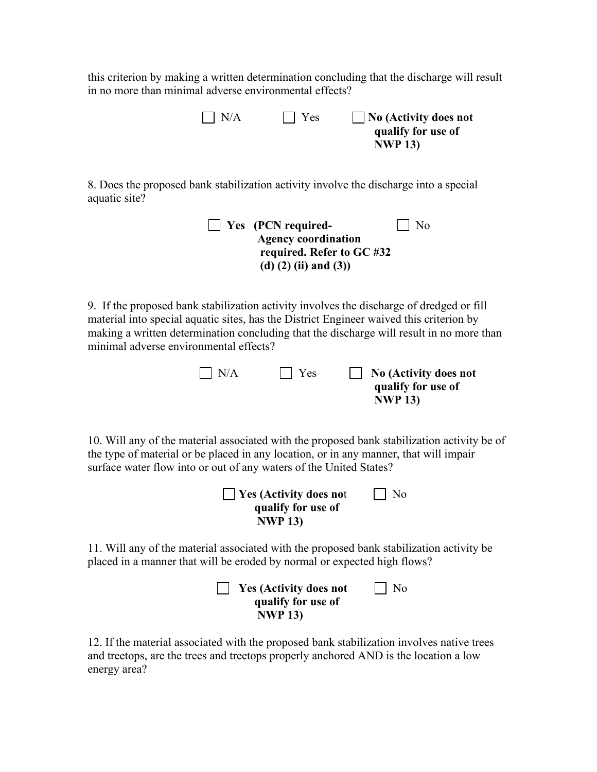this criterion by making a written determination concluding that the discharge will result in no more than minimal adverse environmental effects?

> **N/A** Yes **No (Activity does not qualify for use of NWP 13)**

8. Does the proposed bank stabilization activity involve the discharge into a special aquatic site?

| $\blacksquare$ Yes (PCN required- | $\vert$   No |
|-----------------------------------|--------------|
| <b>Agency coordination</b>        |              |
| required. Refer to GC #32         |              |
| (d) $(2)$ (ii) and $(3)$ )        |              |

9. If the proposed bank stabilization activity involves the discharge of dredged or fill material into special aquatic sites, has the District Engineer waived this criterion by making a written determination concluding that the discharge will result in no more than minimal adverse environmental effects?

| $\mid N/A$ | $\vert$ Yes | No (Activity does not |
|------------|-------------|-----------------------|
|            |             | qualify for use of    |
|            |             | <b>NWP 13)</b>        |

10. Will any of the material associated with the proposed bank stabilization activity be of the type of material or be placed in any location, or in any manner, that will impair surface water flow into or out of any waters of the United States?

**Yes (Activity does not** No **qualify for use of NWP 13)**

11. Will any of the material associated with the proposed bank stabilization activity be placed in a manner that will be eroded by normal or expected high flows?



12. If the material associated with the proposed bank stabilization involves native trees and treetops, are the trees and treetops properly anchored AND is the location a low energy area?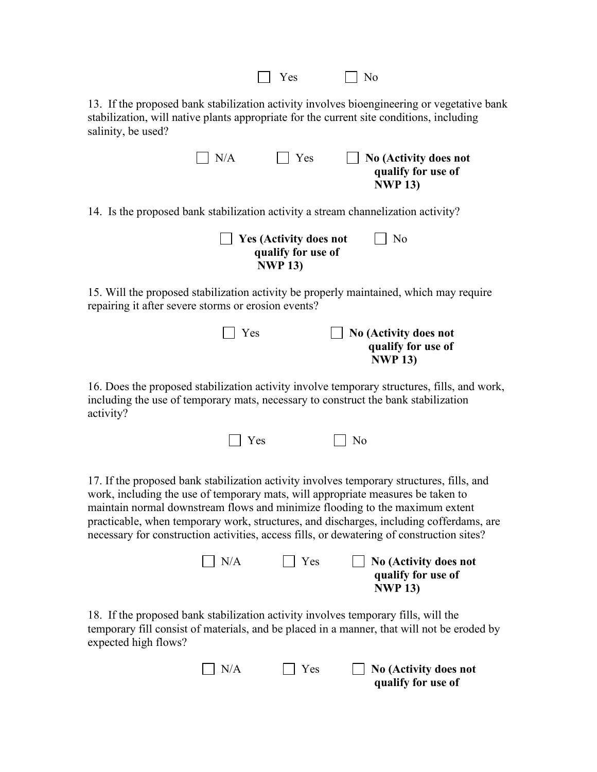| Yes<br>No                                                                                                                                                                                                                                                                                                                                                                                                                                             |  |  |  |  |
|-------------------------------------------------------------------------------------------------------------------------------------------------------------------------------------------------------------------------------------------------------------------------------------------------------------------------------------------------------------------------------------------------------------------------------------------------------|--|--|--|--|
| 13. If the proposed bank stabilization activity involves bioengineering or vegetative bank<br>stabilization, will native plants appropriate for the current site conditions, including<br>salinity, be used?                                                                                                                                                                                                                                          |  |  |  |  |
| N/A<br>Yes<br><b>No (Activity does not</b><br>qualify for use of<br><b>NWP 13)</b>                                                                                                                                                                                                                                                                                                                                                                    |  |  |  |  |
| 14. Is the proposed bank stabilization activity a stream channelization activity?                                                                                                                                                                                                                                                                                                                                                                     |  |  |  |  |
| No<br><b>Yes (Activity does not</b><br>qualify for use of<br><b>NWP 13)</b>                                                                                                                                                                                                                                                                                                                                                                           |  |  |  |  |
| 15. Will the proposed stabilization activity be properly maintained, which may require<br>repairing it after severe storms or erosion events?                                                                                                                                                                                                                                                                                                         |  |  |  |  |
| Yes<br><b>No (Activity does not</b><br>qualify for use of<br><b>NWP 13)</b>                                                                                                                                                                                                                                                                                                                                                                           |  |  |  |  |
| 16. Does the proposed stabilization activity involve temporary structures, fills, and work,<br>including the use of temporary mats, necessary to construct the bank stabilization<br>activity?                                                                                                                                                                                                                                                        |  |  |  |  |
| Yes<br>No                                                                                                                                                                                                                                                                                                                                                                                                                                             |  |  |  |  |
| 17. If the proposed bank stabilization activity involves temporary structures, fills, and<br>work, including the use of temporary mats, will appropriate measures be taken to<br>maintain normal downstream flows and minimize flooding to the maximum extent<br>practicable, when temporary work, structures, and discharges, including cofferdams, are<br>necessary for construction activities, access fills, or dewatering of construction sites? |  |  |  |  |
| N/A<br>Yes<br><b>No (Activity does not</b><br>qualify for use of<br><b>NWP 13)</b>                                                                                                                                                                                                                                                                                                                                                                    |  |  |  |  |
| 18. If the proposed bank stabilization activity involves temporary fills, will the<br>temporary fill consist of materials, and be placed in a manner, that will not be eroded by<br>expected high flows?                                                                                                                                                                                                                                              |  |  |  |  |

N/A Yes **No (Activity does not qualify for use of**